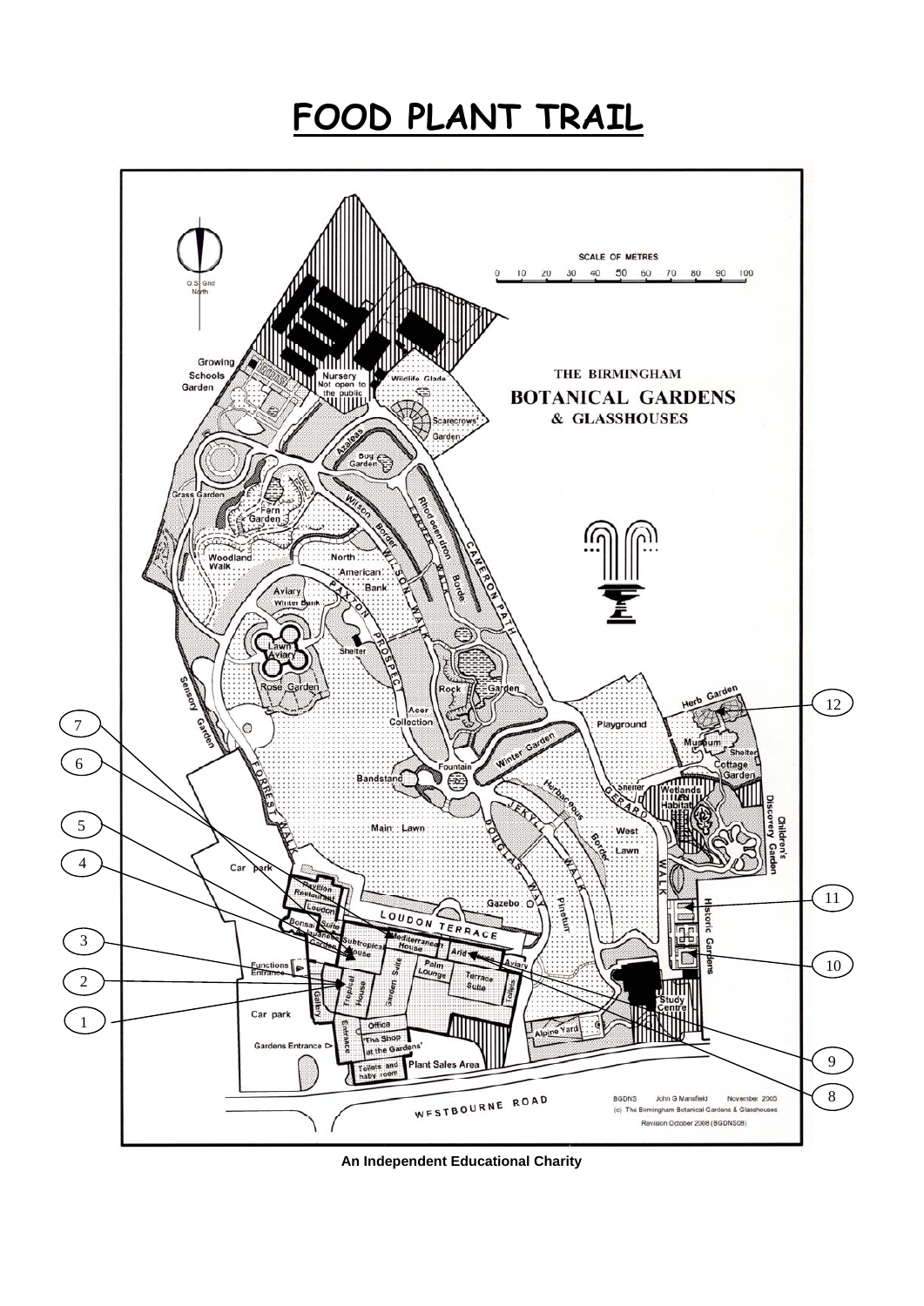## **FOOD PLANT TRAIL**



**An Independent Educational Charity**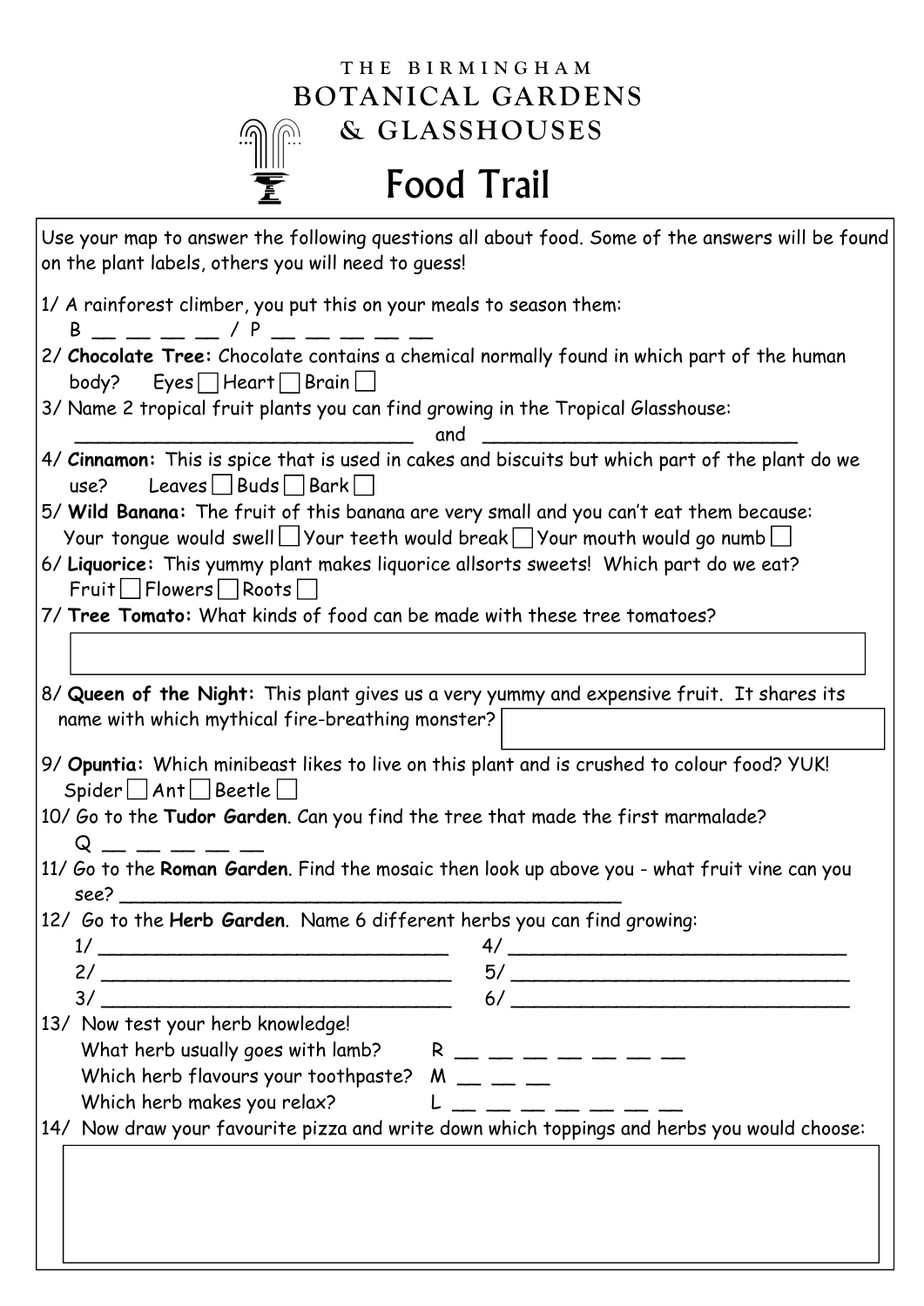## **THE BIRMINGHAM BOTANICAL GARDENS & GLASSHOUSES**  $\widehat{\mathbb{C}}$

(G

## Food Trail

| Use your map to answer the following questions all about food. Some of the answers will be found<br>on the plant labels, others you will need to quess!                                                                                                                                                                              |
|--------------------------------------------------------------------------------------------------------------------------------------------------------------------------------------------------------------------------------------------------------------------------------------------------------------------------------------|
| 1/ A rainforest climber, you put this on your meals to season them:<br>$B =$ $   /$ $P =$ $  -$                                                                                                                                                                                                                                      |
| 2/ Chocolate Tree: Chocolate contains a chemical normally found in which part of the human<br>$body?$ Eyes Heart Brain                                                                                                                                                                                                               |
| 3/ Name 2 tropical fruit plants you can find growing in the Tropical Glasshouse:<br>and                                                                                                                                                                                                                                              |
| 4/ Cinnamon: This is spice that is used in cakes and biscuits but which part of the plant do we<br>Leaves $\Box$ Buds $\Box$ Bark $\Box$<br>use?                                                                                                                                                                                     |
| 5/ Wild Banana: The fruit of this banana are very small and you can't eat them because:<br>Your tongue would swell $\Box$ Your teeth would break $\Box$ Your mouth would go numb $\Box$                                                                                                                                              |
| 6/ Liquorice: This yummy plant makes liquorice allsorts sweets! Which part do we eat?<br>$Fruit$ Flowers Roots                                                                                                                                                                                                                       |
| 7/ Tree Tomato: What kinds of food can be made with these tree tomatoes?                                                                                                                                                                                                                                                             |
| 8/ Queen of the Night: This plant gives us a very yummy and expensive fruit. It shares its<br>name with which mythical fire-breathing monster?                                                                                                                                                                                       |
| 9/ Opuntia: Which minibeast likes to live on this plant and is crushed to colour food? YUK!<br>$Spider \bigsqcup Ant \bigsqcup Bestle \bigsqcup$<br>10/ Go to the Tudor Garden. Can you find the tree that made the first marmalade?<br>11/ Go to the Roman Garden. Find the mosaic then look up above you - what fruit vine can you |
| see?                                                                                                                                                                                                                                                                                                                                 |
| 12/ Go to the Herb Garden. Name 6 different herbs you can find growing:<br>4/                                                                                                                                                                                                                                                        |
| $\frac{5}{ }$                                                                                                                                                                                                                                                                                                                        |
| 13/ Now test your herb knowledge!                                                                                                                                                                                                                                                                                                    |
| What herb usually goes with lamb? $R = -$ - - - - - -                                                                                                                                                                                                                                                                                |
| Which herb makes you relax?                                                                                                                                                                                                                                                                                                          |
| 14/ Now draw your favourite pizza and write down which toppings and herbs you would choose:                                                                                                                                                                                                                                          |
|                                                                                                                                                                                                                                                                                                                                      |
|                                                                                                                                                                                                                                                                                                                                      |
|                                                                                                                                                                                                                                                                                                                                      |
|                                                                                                                                                                                                                                                                                                                                      |